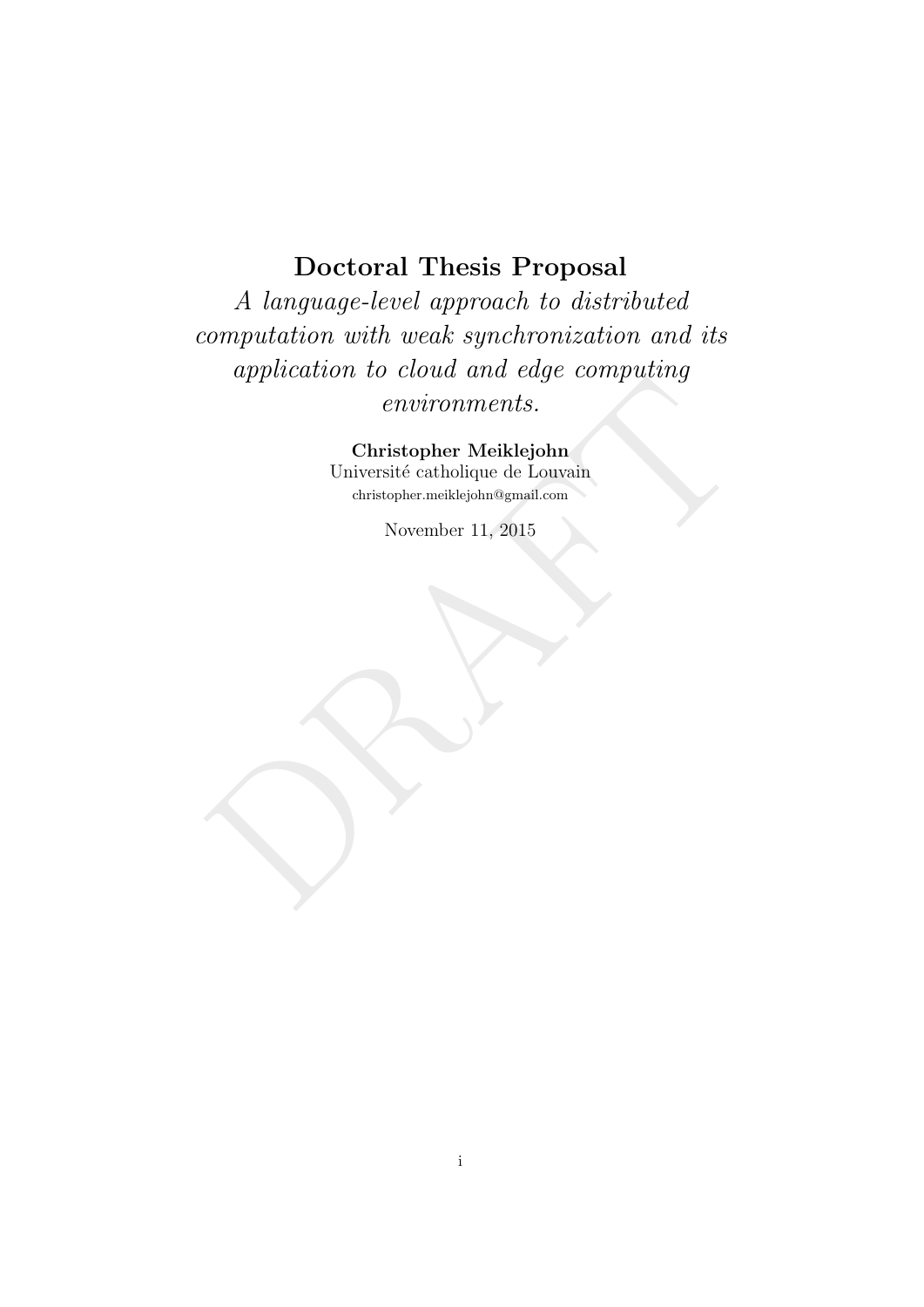# Doctoral Thesis Proposal

Expression de civil de la cargo comparante en la contra de la contra de la contra de la contra de la contra<br>De la contra de la contra de la contra de la contra de la contra de la contra de la contra de la contra de la cont A language-level approach to distributed computation with weak synchronization and its application to cloud and edge computing environments.

Christopher Meiklejohn Université catholique de Louvain christopher.meiklejohn@gmail.com

November 11, 2015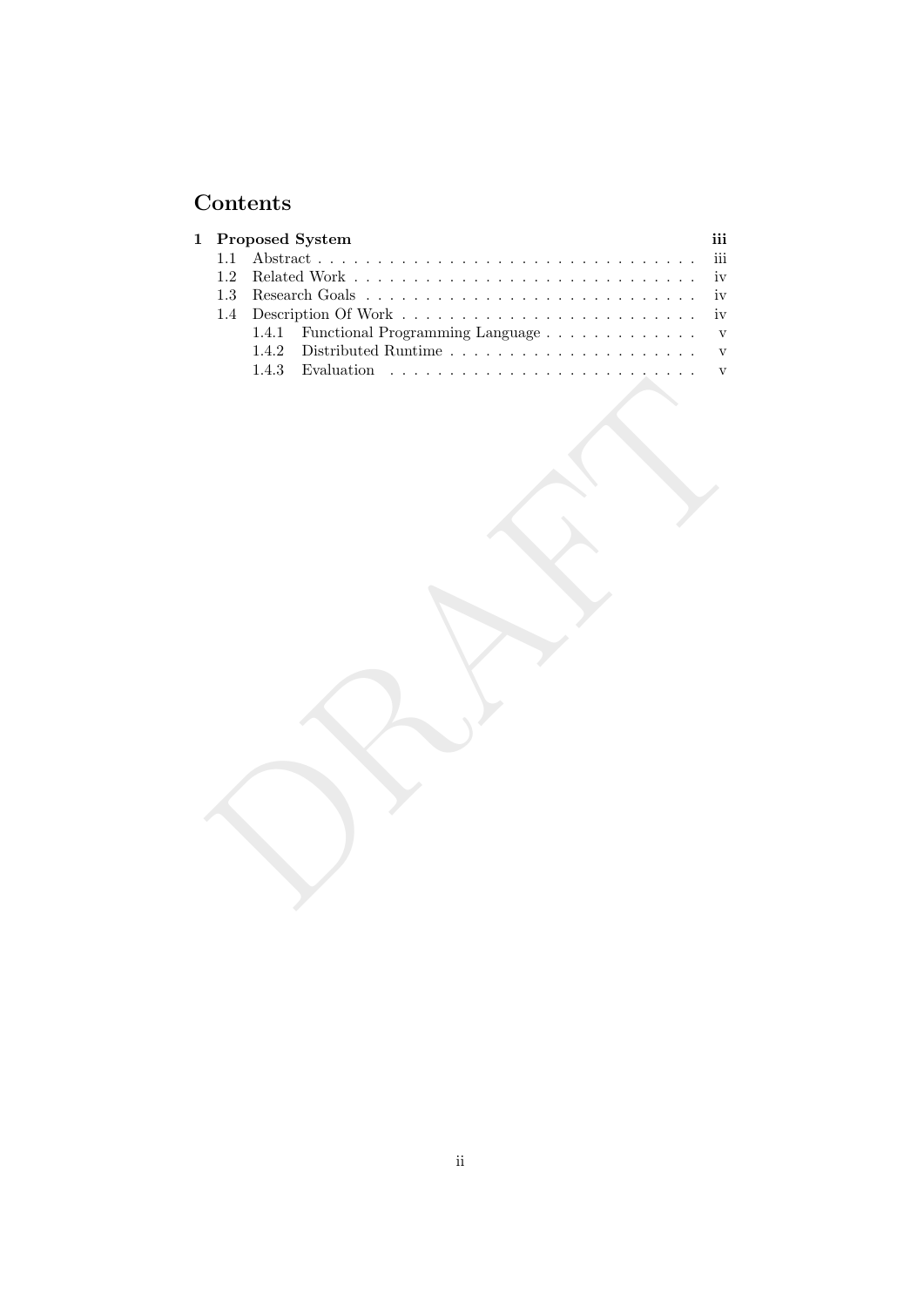# Contents

| $\mathbf{1}$ |       | Proposed System                                 | iii                     |
|--------------|-------|-------------------------------------------------|-------------------------|
| 1.1          |       | Abstract                                        | $\overline{\text{iii}}$ |
| $1.2\,$      |       | Related Work                                    | iv<br>iv                |
| $1.3\,$      |       |                                                 |                         |
| 1.4          |       |                                                 | iv                      |
|              | 1.4.1 | Functional Programming Language                 | $\mathbf{V}$            |
|              | 1.4.2 |                                                 | $\mathbf{V}$            |
|              | 1.4.3 | Evaluation $\ldots \ldots \ldots \ldots \ldots$ | $\mathbf{V}$            |
|              |       |                                                 |                         |
|              |       |                                                 |                         |
|              |       |                                                 |                         |
|              |       |                                                 |                         |
|              |       |                                                 |                         |
|              |       |                                                 |                         |
|              |       |                                                 |                         |
|              |       |                                                 |                         |
|              |       |                                                 |                         |
|              |       |                                                 |                         |
|              |       |                                                 |                         |
|              |       |                                                 |                         |
|              |       |                                                 |                         |
|              |       |                                                 |                         |
|              |       |                                                 |                         |
|              |       |                                                 |                         |
|              |       |                                                 |                         |
|              |       |                                                 |                         |
|              |       |                                                 |                         |
|              |       |                                                 |                         |
|              |       |                                                 |                         |
|              |       |                                                 |                         |
|              |       |                                                 |                         |
|              |       |                                                 |                         |
|              |       |                                                 |                         |
|              |       |                                                 |                         |
|              |       |                                                 |                         |
|              |       |                                                 |                         |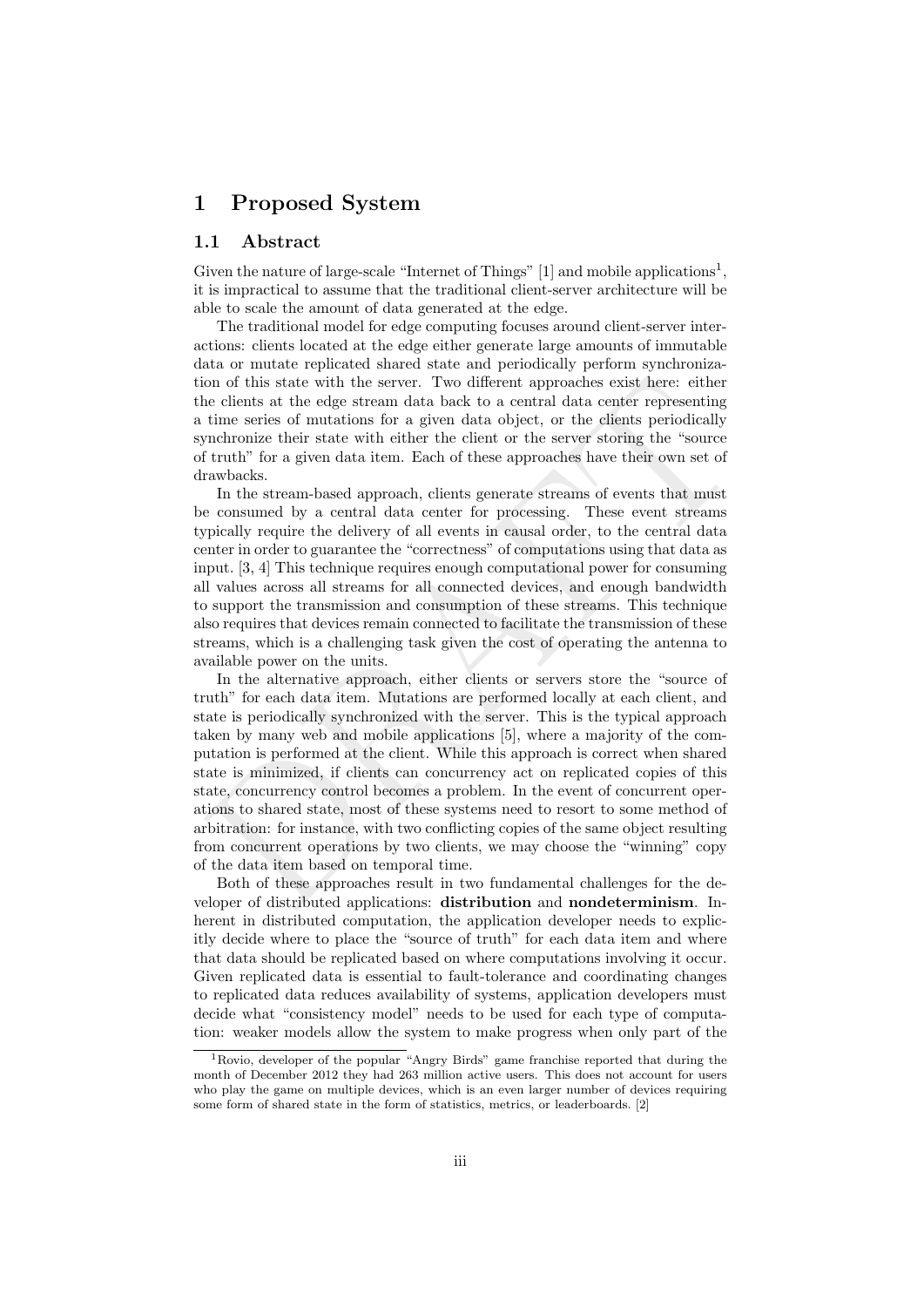## 1 Proposed System

### 1.1 Abstract

Given the nature of large-scale "Internet of Things"  $[1]$  and mobile applications<sup>1</sup>, it is impractical to assume that the traditional client-server architecture will be able to scale the amount of data generated at the edge.

The traditional model for edge computing focuses around client-server interactions: clients located at the edge either generate large amounts of immutable data or mutate replicated shared state and periodically perform synchronization of this state with the server. Two different approaches exist here: either the clients at the edge stream data back to a central data center representing a time series of mutations for a given data object, or the clients periodically synchronize their state with either the client or the server storing the "source of truth" for a given data item. Each of these approaches have their own set of drawbacks.

In the stream-based approach, clients generate streams of events that must be consumed by a central data center for processing. These event streams typically require the delivery of all events in causal order, to the central data center in order to guarantee the "correctness" of computations using that data as input. [3, 4] This technique requires enough computational power for consuming all values across all streams for all connected devices, and enough bandwidth to support the transmission and consumption of these streams. This technique also requires that devices remain connected to facilitate the transmission of these streams, which is a challenging task given the cost of operating the antenna to available power on the units.

on of this state with the server. Two different approaches exist here: either eithere eients at the edge stream data back to a certural data conter erpresenting their time series of mutations for a given data object, or t In the alternative approach, either clients or servers store the "source of truth" for each data item. Mutations are performed locally at each client, and state is periodically synchronized with the server. This is the typical approach taken by many web and mobile applications [5], where a majority of the computation is performed at the client. While this approach is correct when shared state is minimized, if clients can concurrency act on replicated copies of this state, concurrency control becomes a problem. In the event of concurrent operations to shared state, most of these systems need to resort to some method of arbitration: for instance, with two conflicting copies of the same object resulting from concurrent operations by two clients, we may choose the "winning" copy of the data item based on temporal time.

Both of these approaches result in two fundamental challenges for the developer of distributed applications: distribution and nondeterminism. Inherent in distributed computation, the application developer needs to explicitly decide where to place the "source of truth" for each data item and where that data should be replicated based on where computations involving it occur. Given replicated data is essential to fault-tolerance and coordinating changes to replicated data reduces availability of systems, application developers must decide what "consistency model" needs to be used for each type of computation: weaker models allow the system to make progress when only part of the

<sup>1</sup>Rovio, developer of the popular "Angry Birds" game franchise reported that during the month of December 2012 they had 263 million active users. This does not account for users who play the game on multiple devices, which is an even larger number of devices requiring some form of shared state in the form of statistics, metrics, or leaderboards. [2]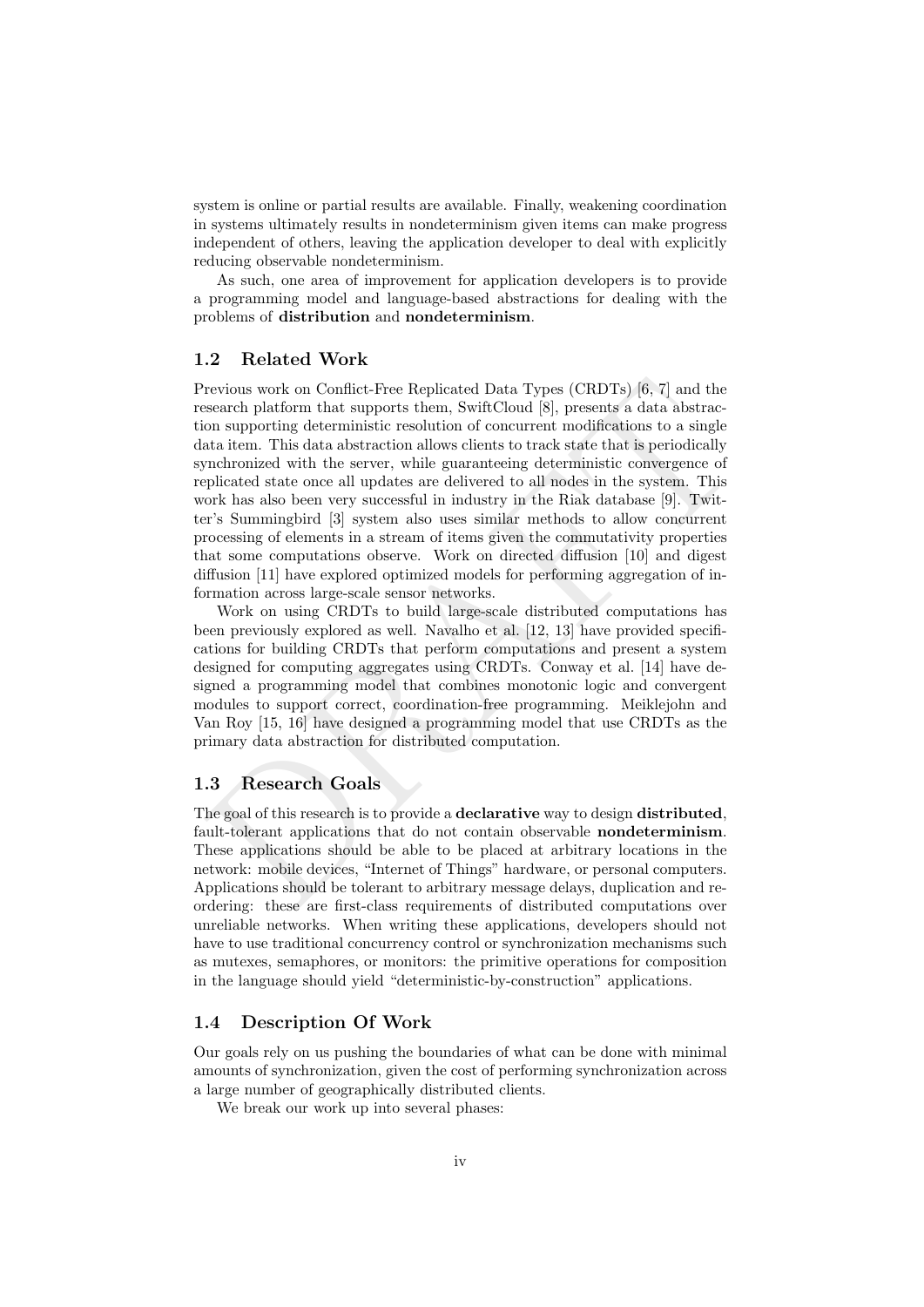system is online or partial results are available. Finally, weakening coordination in systems ultimately results in nondeterminism given items can make progress independent of others, leaving the application developer to deal with explicitly reducing observable nondeterminism.

As such, one area of improvement for application developers is to provide a programming model and language-based abstractions for dealing with the problems of distribution and nondeterminism.

### 1.2 Related Work

revious work on Conflict-Free Replicated Data Types (CRDTs) [6, 7] and the search platform that supports therem, Swift<br>Cloud [8], presents a dastrace-on supporting deterministic resolution of concurrent modifications to a Previous work on Conflict-Free Replicated Data Types (CRDTs) [6, 7] and the research platform that supports them, SwiftCloud [8], presents a data abstraction supporting deterministic resolution of concurrent modifications to a single data item. This data abstraction allows clients to track state that is periodically synchronized with the server, while guaranteeing deterministic convergence of replicated state once all updates are delivered to all nodes in the system. This work has also been very successful in industry in the Riak database [9]. Twitter's Summingbird [3] system also uses similar methods to allow concurrent processing of elements in a stream of items given the commutativity properties that some computations observe. Work on directed diffusion [10] and digest diffusion [11] have explored optimized models for performing aggregation of information across large-scale sensor networks.

Work on using CRDTs to build large-scale distributed computations has been previously explored as well. Navalho et al. [12, 13] have provided specifications for building CRDTs that perform computations and present a system designed for computing aggregates using CRDTs. Conway et al. [14] have designed a programming model that combines monotonic logic and convergent modules to support correct, coordination-free programming. Meiklejohn and Van Roy [15, 16] have designed a programming model that use CRDTs as the primary data abstraction for distributed computation.

## 1.3 Research Goals

The goal of this research is to provide a **declarative** way to design **distributed**, fault-tolerant applications that do not contain observable **nondeterminism**. These applications should be able to be placed at arbitrary locations in the network: mobile devices, "Internet of Things" hardware, or personal computers. Applications should be tolerant to arbitrary message delays, duplication and reordering: these are first-class requirements of distributed computations over unreliable networks. When writing these applications, developers should not have to use traditional concurrency control or synchronization mechanisms such as mutexes, semaphores, or monitors: the primitive operations for composition in the language should yield "deterministic-by-construction" applications.

## 1.4 Description Of Work

Our goals rely on us pushing the boundaries of what can be done with minimal amounts of synchronization, given the cost of performing synchronization across a large number of geographically distributed clients.

We break our work up into several phases: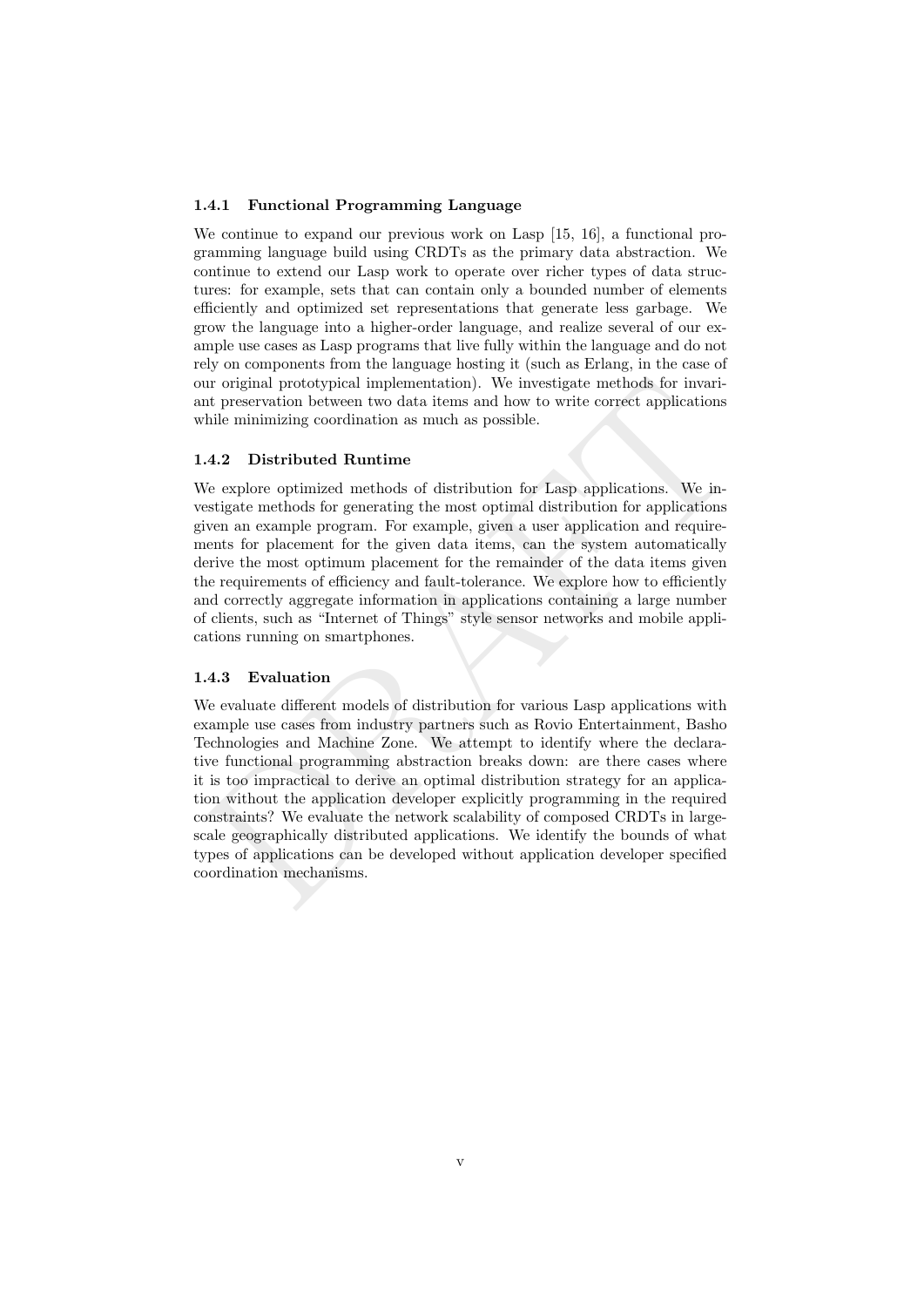#### 1.4.1 Functional Programming Language

We continue to expand our previous work on Lasp [15, 16], a functional programming language build using CRDTs as the primary data abstraction. We continue to extend our Lasp work to operate over richer types of data structures: for example, sets that can contain only a bounded number of elements efficiently and optimized set representations that generate less garbage. We grow the language into a higher-order language, and realize several of our example use cases as Lasp programs that live fully within the language and do not rely on components from the language hosting it (such as Erlang, in the case of our original prototypical implementation). We investigate methods for invariant preservation between two data items and how to write correct applications while minimizing coordination as much as possible.

#### 1.4.2 Distributed Runtime

We explore optimized methods of distribution for Lasp applications. We investigate methods for generating the most optimal distribution for applications given an example program. For example, given a user application and requirements for placement for the given data items, can the system automatically derive the most optimum placement for the remainder of the data items given the requirements of efficiency and fault-tolerance. We explore how to efficiently and correctly aggregate information in applications containing a large number of clients, such as "Internet of Things" style sensor networks and mobile applications running on smartphones.

#### 1.4.3 Evaluation

In original prototypical implementation). We investigate methods for invariant preservation between two data items and how to write correct applications<br>the minimizing coordination as much as possible.<br>
A.2 Distributed Ru We evaluate different models of distribution for various Lasp applications with example use cases from industry partners such as Rovio Entertainment, Basho Technologies and Machine Zone. We attempt to identify where the declarative functional programming abstraction breaks down: are there cases where it is too impractical to derive an optimal distribution strategy for an application without the application developer explicitly programming in the required constraints? We evaluate the network scalability of composed CRDTs in largescale geographically distributed applications. We identify the bounds of what types of applications can be developed without application developer specified coordination mechanisms.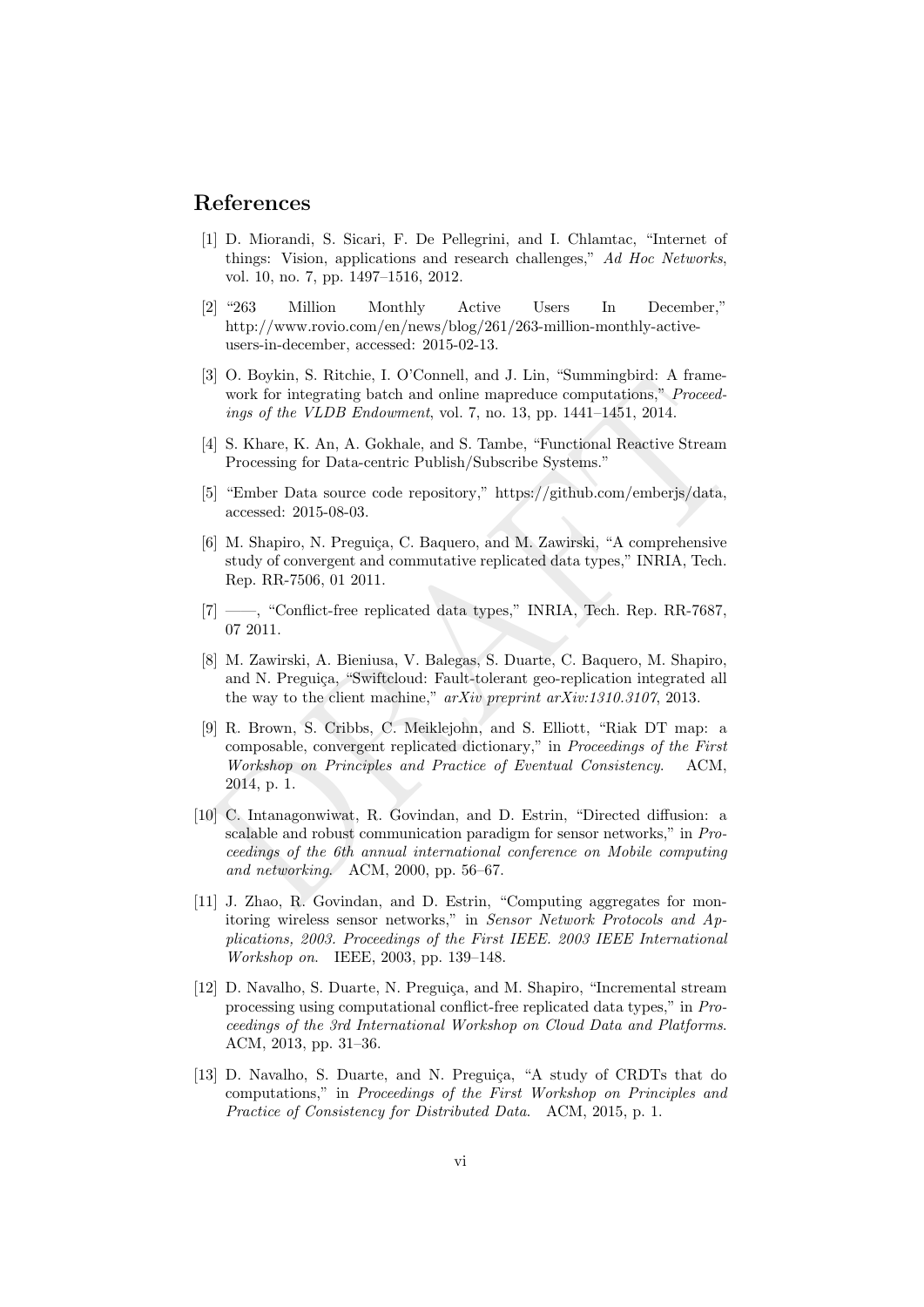## References

- [1] D. Miorandi, S. Sicari, F. De Pellegrini, and I. Chlamtac, "Internet of things: Vision, applications and research challenges," Ad Hoc Networks, vol. 10, no. 7, pp. 1497–1516, 2012.
- [2] "263 Million Monthly Active Users In December," http://www.rovio.com/en/news/blog/261/263-million-monthly-activeusers-in-december, accessed: 2015-02-13.
- [3] O. Boykin, S. Ritchie, I. O'Connell, and J. Lin, "Summingbird: A framework for integrating batch and online mapreduce computations," *Proceed*ings of the VLDB Endowment, vol. 7, no. 13, pp. 1441–1451, 2014.
- [4] S. Khare, K. An, A. Gokhale, and S. Tambe, "Functional Reactive Stream Processing for Data-centric Publish/Subscribe Systems."
- [5] "Ember Data source code repository," https://github.com/emberjs/data, accessed: 2015-08-03.
- [6] M. Shapiro, N. Preguiça, C. Baquero, and M. Zawirski, "A comprehensive study of convergent and commutative replicated data types," INRIA, Tech. Rep. RR-7506, 01 2011.
- [7] ——, "Conflict-free replicated data types," INRIA, Tech. Rep. RR-7687, 07 2011.
- [8] M. Zawirski, A. Bieniusa, V. Balegas, S. Duarte, C. Baquero, M. Shapiro, and N. Preguiça, "Swiftcloud: Fault-tolerant geo-replication integrated all the way to the client machine," arXiv preprint arXiv:1310.3107, 2013.
- [5] O. Doyant, 5. Auteme, 1. O Connei, and 3. Lin, Summingtoric A rame-<br>work for integrating batch and online mapreduce computations,<sup>n</sup> *Proceed-*<br>ings of the VLDB Endowment, vol. 7, no. 13, pp. 1441–1451, 2014.<br>[4] S. K [9] R. Brown, S. Cribbs, C. Meiklejohn, and S. Elliott, "Riak DT map: a composable, convergent replicated dictionary," in Proceedings of the First Workshop on Principles and Practice of Eventual Consistency. ACM, 2014, p. 1.
- [10] C. Intanagonwiwat, R. Govindan, and D. Estrin, "Directed diffusion: a scalable and robust communication paradigm for sensor networks," in Proceedings of the 6th annual international conference on Mobile computing and networking. ACM, 2000, pp. 56–67.
- [11] J. Zhao, R. Govindan, and D. Estrin, "Computing aggregates for monitoring wireless sensor networks," in Sensor Network Protocols and Applications, 2003. Proceedings of the First IEEE. 2003 IEEE International Workshop on. IEEE, 2003, pp. 139–148.
- [12] D. Navalho, S. Duarte, N. Preguiça, and M. Shapiro, "Incremental stream processing using computational conflict-free replicated data types," in Proceedings of the 3rd International Workshop on Cloud Data and Platforms. ACM, 2013, pp. 31–36.
- [13] D. Navalho, S. Duarte, and N. Preguiça, "A study of CRDTs that do computations," in Proceedings of the First Workshop on Principles and Practice of Consistency for Distributed Data. ACM, 2015, p. 1.